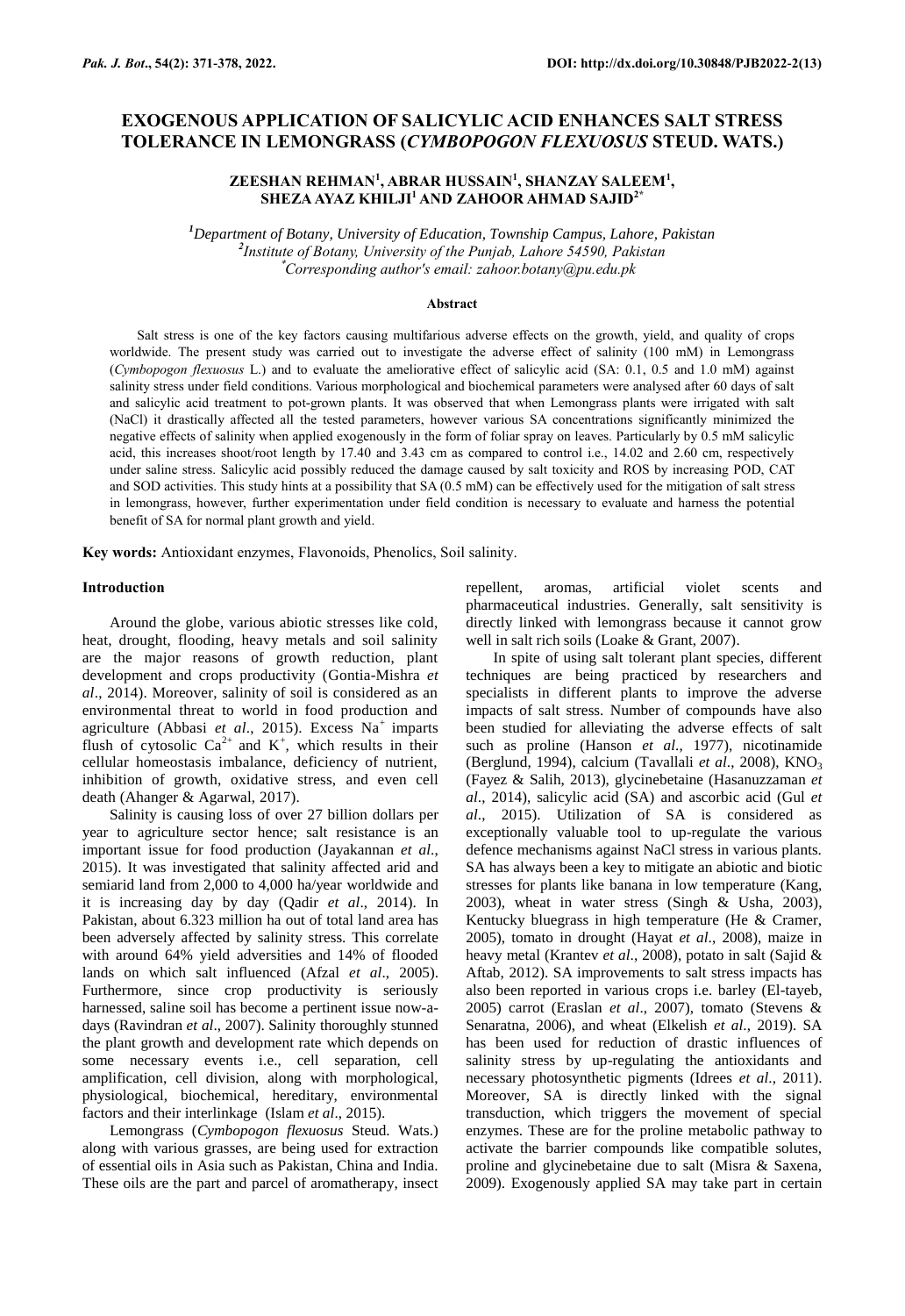# **EXOGENOUS APPLICATION OF SALICYLIC ACID ENHANCES SALT STRESS TOLERANCE IN LEMONGRASS (***CYMBOPOGON FLEXUOSUS* **STEUD. WATS.)**

## **ZEESHAN REHMAN<sup>1</sup> , ABRAR HUSSAIN<sup>1</sup> , SHANZAY SALEEM<sup>1</sup> , SHEZA AYAZ KHILJI<sup>1</sup>AND ZAHOOR AHMAD SAJID2\***

*<sup>1</sup>Department of Botany, University of Education, Township Campus, Lahore, Pakistan 2 Institute of Botany, University of the Punjab, Lahore 54590, Pakistan* \**Corresponding author's email: zahoor.botany@pu.edu.pk*

#### **Abstract**

Salt stress is one of the key factors causing multifarious adverse effects on the growth, yield, and quality of crops worldwide. The present study was carried out to investigate the adverse effect of salinity (100 mM) in Lemongrass (*Cymbopogon flexuosus* L.) and to evaluate the ameliorative effect of salicylic acid (SA: 0.1, 0.5 and 1.0 mM) against salinity stress under field conditions. Various morphological and biochemical parameters were analysed after 60 days of salt and salicylic acid treatment to pot-grown plants. It was observed that when Lemongrass plants were irrigated with salt (NaCl) it drastically affected all the tested parameters, however various SA concentrations significantly minimized the negative effects of salinity when applied exogenously in the form of foliar spray on leaves. Particularly by 0.5 mM salicylic acid, this increases shoot/root length by 17.40 and 3.43 cm as compared to control i.e., 14.02 and 2.60 cm, respectively under saline stress. Salicylic acid possibly reduced the damage caused by salt toxicity and ROS by increasing POD, CAT and SOD activities. This study hints at a possibility that SA (0.5 mM) can be effectively used for the mitigation of salt stress in lemongrass, however, further experimentation under field condition is necessary to evaluate and harness the potential benefit of SA for normal plant growth and yield.

**Key words:** Antioxidant enzymes, Flavonoids, Phenolics, Soil salinity.

## **Introduction**

Around the globe, various abiotic stresses like cold, heat, drought, flooding, heavy metals and soil salinity are the major reasons of growth reduction, plant development and crops productivity (Gontia-Mishra *et al*., 2014). Moreover, salinity of soil is considered as an environmental threat to world in food production and agriculture (Abbasi *et al.*, 2015). Excess Na<sup>+</sup> imparts flush of cytosolic  $Ca^{2+}$  and  $K^+$ , which results in their cellular homeostasis imbalance, deficiency of nutrient, inhibition of growth, oxidative stress, and even cell death (Ahanger & Agarwal, 2017).

Salinity is causing loss of over 27 billion dollars per year to agriculture sector hence; salt resistance is an important issue for food production (Jayakannan *et al*., 2015). It was investigated that salinity affected arid and semiarid land from 2,000 to 4,000 ha/year worldwide and it is increasing day by day (Qadir *et al*., 2014). In Pakistan, about 6.323 million ha out of total land area has been adversely affected by salinity stress. This correlate with around 64% yield adversities and 14% of flooded lands on which salt influenced (Afzal *et al*., 2005). Furthermore, since crop productivity is seriously harnessed, saline soil has become a pertinent issue now-adays (Ravindran *et al*., 2007). Salinity thoroughly stunned the plant growth and development rate which depends on some necessary events i.e., cell separation, cell amplification, cell division, along with morphological, physiological, biochemical, hereditary, environmental factors and their interlinkage (Islam *et al*., 2015).

Lemongrass (*Cymbopogon flexuosus* Steud. Wats.) along with various grasses, are being used for extraction of essential oils in Asia such as Pakistan, China and India. These oils are the part and parcel of aromatherapy, insect repellent, aromas, artificial violet scents and pharmaceutical industries. Generally, salt sensitivity is directly linked with lemongrass because it cannot grow well in salt rich soils (Loake & Grant, 2007).

In spite of using salt tolerant plant species, different techniques are being practiced by researchers and specialists in different plants to improve the adverse impacts of salt stress. Number of compounds have also been studied for alleviating the adverse effects of salt such as proline (Hanson *et al*., 1977), nicotinamide (Berglund, 1994), calcium (Tavallali *et al*., 2008), KNO<sup>3</sup> (Fayez & Salih, 2013), glycinebetaine (Hasanuzzaman *et al*., 2014), salicylic acid (SA) and ascorbic acid (Gul *et al*., 2015). Utilization of SA is considered as exceptionally valuable tool to up-regulate the various defence mechanisms against NaCl stress in various plants. SA has always been a key to mitigate an abiotic and biotic stresses for plants like banana in low temperature (Kang, 2003), wheat in water stress (Singh & Usha, 2003), Kentucky bluegrass in high temperature (He & Cramer, 2005), tomato in drought (Hayat *et al*., 2008), maize in heavy metal (Krantev *et al*., 2008), potato in salt (Sajid & Aftab, 2012). SA improvements to salt stress impacts has also been reported in various crops i.e. barley (El-tayeb, 2005) carrot (Eraslan *et al*., 2007), tomato (Stevens & Senaratna, 2006), and wheat (Elkelish *et al*., 2019). SA has been used for reduction of drastic influences of salinity stress by up-regulating the antioxidants and necessary photosynthetic pigments (Idrees *et al*., 2011). Moreover, SA is directly linked with the signal transduction, which triggers the movement of special enzymes. These are for the proline metabolic pathway to activate the barrier compounds like compatible solutes, proline and glycinebetaine due to salt (Misra & Saxena, 2009). Exogenously applied SA may take part in certain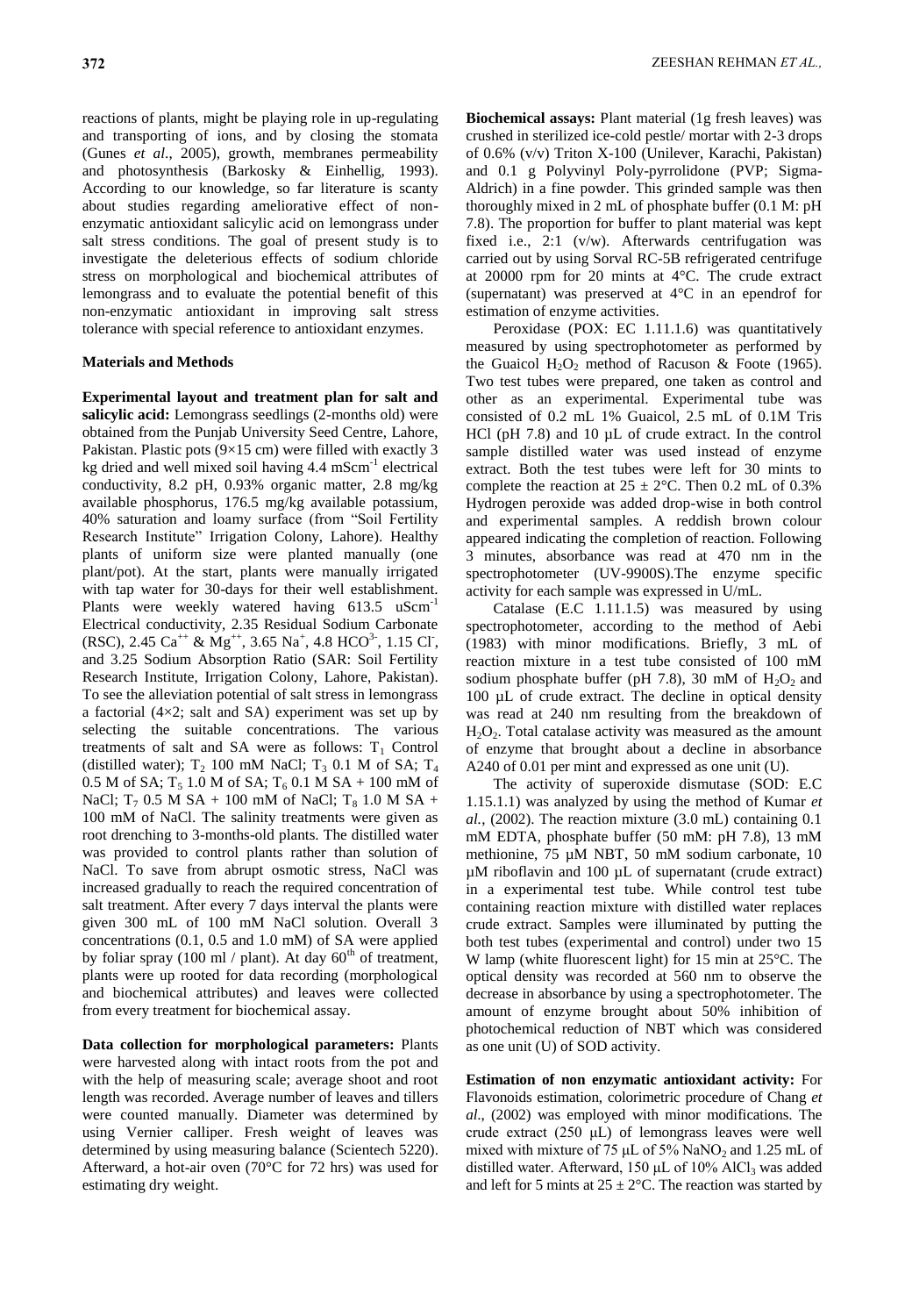reactions of plants, might be playing role in up-regulating and transporting of ions, and by closing the stomata (Gunes *et al*., 2005), growth, membranes permeability and photosynthesis (Barkosky & Einhellig*,* 1993). According to our knowledge, so far literature is scanty about studies regarding ameliorative effect of nonenzymatic antioxidant salicylic acid on lemongrass under salt stress conditions. The goal of present study is to investigate the deleterious effects of sodium chloride stress on morphological and biochemical attributes of lemongrass and to evaluate the potential benefit of this non-enzymatic antioxidant in improving salt stress tolerance with special reference to antioxidant enzymes.

## **Materials and Methods**

**Experimental layout and treatment plan for salt and salicylic acid:** Lemongrass seedlings (2-months old) were obtained from the Punjab University Seed Centre, Lahore, Pakistan. Plastic pots (9×15 cm) were filled with exactly 3 kg dried and well mixed soil having 4.4 mScm<sup>-1</sup> electrical conductivity, 8.2 pH, 0.93% organic matter, 2.8 mg/kg available phosphorus, 176.5 mg/kg available potassium, 40% saturation and loamy surface (from "Soil Fertility Research Institute" Irrigation Colony, Lahore). Healthy plants of uniform size were planted manually (one plant/pot). At the start, plants were manually irrigated with tap water for 30-days for their well establishment. Plants were weekly watered having 613.5 uScm<sup>-1</sup> Electrical conductivity, 2.35 Residual Sodium Carbonate  $(RSC)$ , 2.45 Ca<sup>++</sup> & Mg<sup>++</sup>, 3.65 Na<sup>+</sup>, 4.8 HCO<sup>3-</sup>, 1.15 Cl<sup>-</sup>, and 3.25 Sodium Absorption Ratio (SAR: Soil Fertility Research Institute, Irrigation Colony, Lahore, Pakistan). To see the alleviation potential of salt stress in lemongrass a factorial (4×2; salt and SA) experiment was set up by selecting the suitable concentrations. The various treatments of salt and SA were as follows:  $T_1$  Control (distilled water);  $T_2$  100 mM NaCl;  $T_3$  0.1 M of SA;  $T_4$ 0.5 M of SA;  $T_5$  1.0 M of SA;  $T_6$  0.1 M SA + 100 mM of NaCl;  $T_7$  0.5 M SA + 100 mM of NaCl;  $T_8$  1.0 M SA + 100 mM of NaCl. The salinity treatments were given as root drenching to 3-months-old plants. The distilled water was provided to control plants rather than solution of NaCl. To save from abrupt osmotic stress, NaCl was increased gradually to reach the required concentration of salt treatment. After every 7 days interval the plants were given 300 mL of 100 mM NaCl solution. Overall 3 concentrations (0.1, 0.5 and 1.0 mM) of SA were applied by foliar spray (100 ml / plant). At day  $60<sup>th</sup>$  of treatment, plants were up rooted for data recording (morphological and biochemical attributes) and leaves were collected from every treatment for biochemical assay.

**Data collection for morphological parameters:** Plants were harvested along with intact roots from the pot and with the help of measuring scale; average shoot and root length was recorded. Average number of leaves and tillers were counted manually. Diameter was determined by using Vernier calliper. Fresh weight of leaves was determined by using measuring balance (Scientech 5220). Afterward, a hot-air oven (70°C for 72 hrs) was used for estimating dry weight.

**Biochemical assays:** Plant material (1g fresh leaves) was crushed in sterilized ice-cold pestle/ mortar with 2-3 drops of 0.6% (v/v) Triton X-100 (Unilever, Karachi, Pakistan) and 0.1 g Polyvinyl Poly-pyrrolidone (PVP; Sigma-Aldrich) in a fine powder. This grinded sample was then thoroughly mixed in 2 mL of phosphate buffer (0.1 M: pH 7.8). The proportion for buffer to plant material was kept fixed i.e., 2:1 (v/w). Afterwards centrifugation was carried out by using Sorval RC-5B refrigerated centrifuge at 20000 rpm for 20 mints at 4°C. The crude extract (supernatant) was preserved at 4°C in an ependrof for estimation of enzyme activities.

Peroxidase (POX: EC 1.11.1.6) was quantitatively measured by using spectrophotometer as performed by the Guaicol  $H_2O_2$  method of Racuson & Foote (1965). Two test tubes were prepared, one taken as control and other as an experimental. Experimental tube was consisted of 0.2 mL 1% Guaicol, 2.5 mL of 0.1M Tris HCl (pH 7.8) and 10  $\mu$ L of crude extract. In the control sample distilled water was used instead of enzyme extract. Both the test tubes were left for 30 mints to complete the reaction at  $25 \pm 2$ °C. Then 0.2 mL of 0.3% Hydrogen peroxide was added drop-wise in both control and experimental samples. A reddish brown colour appeared indicating the completion of reaction. Following 3 minutes, absorbance was read at 470 nm in the spectrophotometer (UV-9900S).The enzyme specific activity for each sample was expressed in U/mL.

Catalase (E.C 1.11.1.5) was measured by using spectrophotometer, according to the method of Aebi (1983) with minor modifications. Briefly, 3 mL of reaction mixture in a test tube consisted of 100 mM sodium phosphate buffer (pH 7.8), 30 mM of  $H_2O_2$  and 100 µL of crude extract. The decline in optical density was read at 240 nm resulting from the breakdown of  $H<sub>2</sub>O<sub>2</sub>$ . Total catalase activity was measured as the amount of enzyme that brought about a decline in absorbance A240 of 0.01 per mint and expressed as one unit (U).

The activity of superoxide dismutase (SOD: E.C 1.15.1.1) was analyzed by using the method of Kumar *et al.*, (2002). The reaction mixture (3.0 mL) containing 0.1 mM EDTA, phosphate buffer (50 mM: pH 7.8), 13 mM methionine, 75 µM NBT, 50 mM sodium carbonate, 10  $\mu$ M riboflavin and 100  $\mu$ L of supernatant (crude extract) in a experimental test tube. While control test tube containing reaction mixture with distilled water replaces crude extract. Samples were illuminated by putting the both test tubes (experimental and control) under two 15 W lamp (white fluorescent light) for 15 min at 25°C. The optical density was recorded at 560 nm to observe the decrease in absorbance by using a spectrophotometer. The amount of enzyme brought about 50% inhibition of photochemical reduction of NBT which was considered as one unit (U) of SOD activity.

**Estimation of non enzymatic antioxidant activity:** For Flavonoids estimation, colorimetric procedure of Chang *et al*., (2002) was employed with minor modifications. The crude extract (250 μL) of lemongrass leaves were well mixed with mixture of 75  $\mu$ L of 5% NaNO<sub>2</sub> and 1.25 mL of distilled water. Afterward, 150 μL of 10% AlCl<sub>3</sub> was added and left for 5 mints at  $25 \pm 2$ °C. The reaction was started by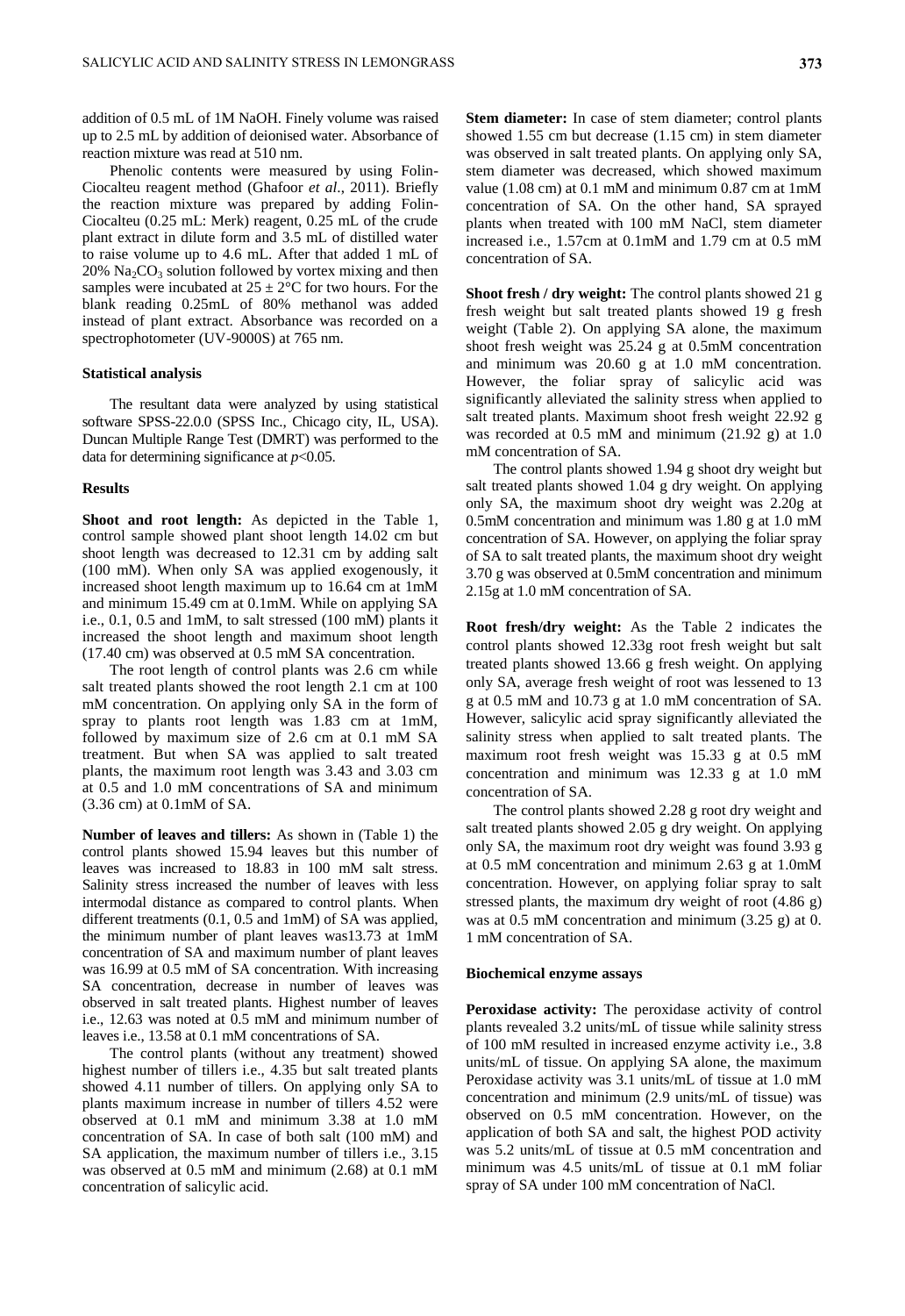addition of 0.5 mL of 1M NaOH. Finely volume was raised up to 2.5 mL by addition of deionised water. Absorbance of reaction mixture was read at 510 nm.

Phenolic contents were measured by using Folin-Ciocalteu reagent method (Ghafoor *et al*., 2011). Briefly the reaction mixture was prepared by adding Folin-Ciocalteu (0.25 mL: Merk) reagent, 0.25 mL of the crude plant extract in dilute form and 3.5 mL of distilled water to raise volume up to 4.6 mL. After that added 1 mL of  $20\%$  Na<sub>2</sub>CO<sub>3</sub> solution followed by vortex mixing and then samples were incubated at  $25 \pm 2^{\circ}$ C for two hours. For the blank reading 0.25mL of 80% methanol was added instead of plant extract. Absorbance was recorded on a spectrophotometer (UV-9000S) at 765 nm.

## **Statistical analysis**

The resultant data were analyzed by using statistical software SPSS-22.0.0 (SPSS Inc., Chicago city, IL, USA). Duncan Multiple Range Test (DMRT) was performed to the data for determining significance at  $p<0.05$ .

#### **Results**

**Shoot and root length:** As depicted in the Table 1, control sample showed plant shoot length 14.02 cm but shoot length was decreased to 12.31 cm by adding salt (100 mM). When only SA was applied exogenously, it increased shoot length maximum up to 16.64 cm at 1mM and minimum 15.49 cm at 0.1mM. While on applying SA i.e., 0.1, 0.5 and 1mM, to salt stressed (100 mM) plants it increased the shoot length and maximum shoot length (17.40 cm) was observed at 0.5 mM SA concentration.

The root length of control plants was 2.6 cm while salt treated plants showed the root length 2.1 cm at 100 mM concentration. On applying only SA in the form of spray to plants root length was 1.83 cm at 1mM, followed by maximum size of 2.6 cm at 0.1 mM SA treatment. But when SA was applied to salt treated plants, the maximum root length was 3.43 and 3.03 cm at 0.5 and 1.0 mM concentrations of SA and minimum (3.36 cm) at 0.1mM of SA.

**Number of leaves and tillers:** As shown in (Table 1) the control plants showed 15.94 leaves but this number of leaves was increased to 18.83 in 100 mM salt stress. Salinity stress increased the number of leaves with less intermodal distance as compared to control plants. When different treatments (0.1, 0.5 and 1mM) of SA was applied, the minimum number of plant leaves was13.73 at 1mM concentration of SA and maximum number of plant leaves was 16.99 at 0.5 mM of SA concentration. With increasing SA concentration, decrease in number of leaves was observed in salt treated plants. Highest number of leaves i.e., 12.63 was noted at 0.5 mM and minimum number of leaves i.e., 13.58 at 0.1 mM concentrations of SA.

The control plants (without any treatment) showed highest number of tillers *i.e.*, 4.35 but salt treated plants showed 4.11 number of tillers. On applying only SA to plants maximum increase in number of tillers 4.52 were observed at 0.1 mM and minimum 3.38 at 1.0 mM concentration of SA. In case of both salt (100 mM) and SA application, the maximum number of tillers i.e., 3.15 was observed at 0.5 mM and minimum (2.68) at 0.1 mM concentration of salicylic acid.

**Stem diameter:** In case of stem diameter; control plants showed 1.55 cm but decrease (1.15 cm) in stem diameter was observed in salt treated plants. On applying only SA, stem diameter was decreased, which showed maximum value (1.08 cm) at 0.1 mM and minimum 0.87 cm at 1mM concentration of SA. On the other hand, SA sprayed plants when treated with 100 mM NaCl, stem diameter increased i.e., 1.57cm at 0.1mM and 1.79 cm at 0.5 mM concentration of SA.

**Shoot fresh / dry weight:** The control plants showed 21 g fresh weight but salt treated plants showed 19 g fresh weight (Table 2). On applying SA alone, the maximum shoot fresh weight was 25.24 g at 0.5mM concentration and minimum was 20.60 g at 1.0 mM concentration. However, the foliar spray of salicylic acid was significantly alleviated the salinity stress when applied to salt treated plants. Maximum shoot fresh weight 22.92 g was recorded at 0.5 mM and minimum (21.92 g) at 1.0 mM concentration of SA.

The control plants showed 1.94 g shoot dry weight but salt treated plants showed 1.04 g dry weight. On applying only SA, the maximum shoot dry weight was 2.20g at 0.5mM concentration and minimum was 1.80 g at 1.0 mM concentration of SA. However, on applying the foliar spray of SA to salt treated plants, the maximum shoot dry weight 3.70 g was observed at 0.5mM concentration and minimum 2.15g at 1.0 mM concentration of SA.

**Root fresh/dry weight:** As the Table 2 indicates the control plants showed 12.33g root fresh weight but salt treated plants showed 13.66 g fresh weight. On applying only SA, average fresh weight of root was lessened to 13 g at 0.5 mM and 10.73 g at 1.0 mM concentration of SA. However, salicylic acid spray significantly alleviated the salinity stress when applied to salt treated plants. The maximum root fresh weight was 15.33 g at 0.5 mM concentration and minimum was 12.33 g at 1.0 mM concentration of SA.

The control plants showed 2.28 g root dry weight and salt treated plants showed 2.05 g dry weight. On applying only SA, the maximum root dry weight was found 3.93 g at 0.5 mM concentration and minimum 2.63 g at 1.0mM concentration. However, on applying foliar spray to salt stressed plants, the maximum dry weight of root (4.86 g) was at 0.5 mM concentration and minimum (3.25 g) at 0. 1 mM concentration of SA.

## **Biochemical enzyme assays**

**Peroxidase activity:** The peroxidase activity of control plants revealed 3.2 units/mL of tissue while salinity stress of 100 mM resulted in increased enzyme activity i.e., 3.8 units/mL of tissue. On applying SA alone, the maximum Peroxidase activity was 3.1 units/mL of tissue at 1.0 mM concentration and minimum (2.9 units/mL of tissue) was observed on 0.5 mM concentration. However, on the application of both SA and salt, the highest POD activity was 5.2 units/mL of tissue at 0.5 mM concentration and minimum was 4.5 units/mL of tissue at 0.1 mM foliar spray of SA under 100 mM concentration of NaCl.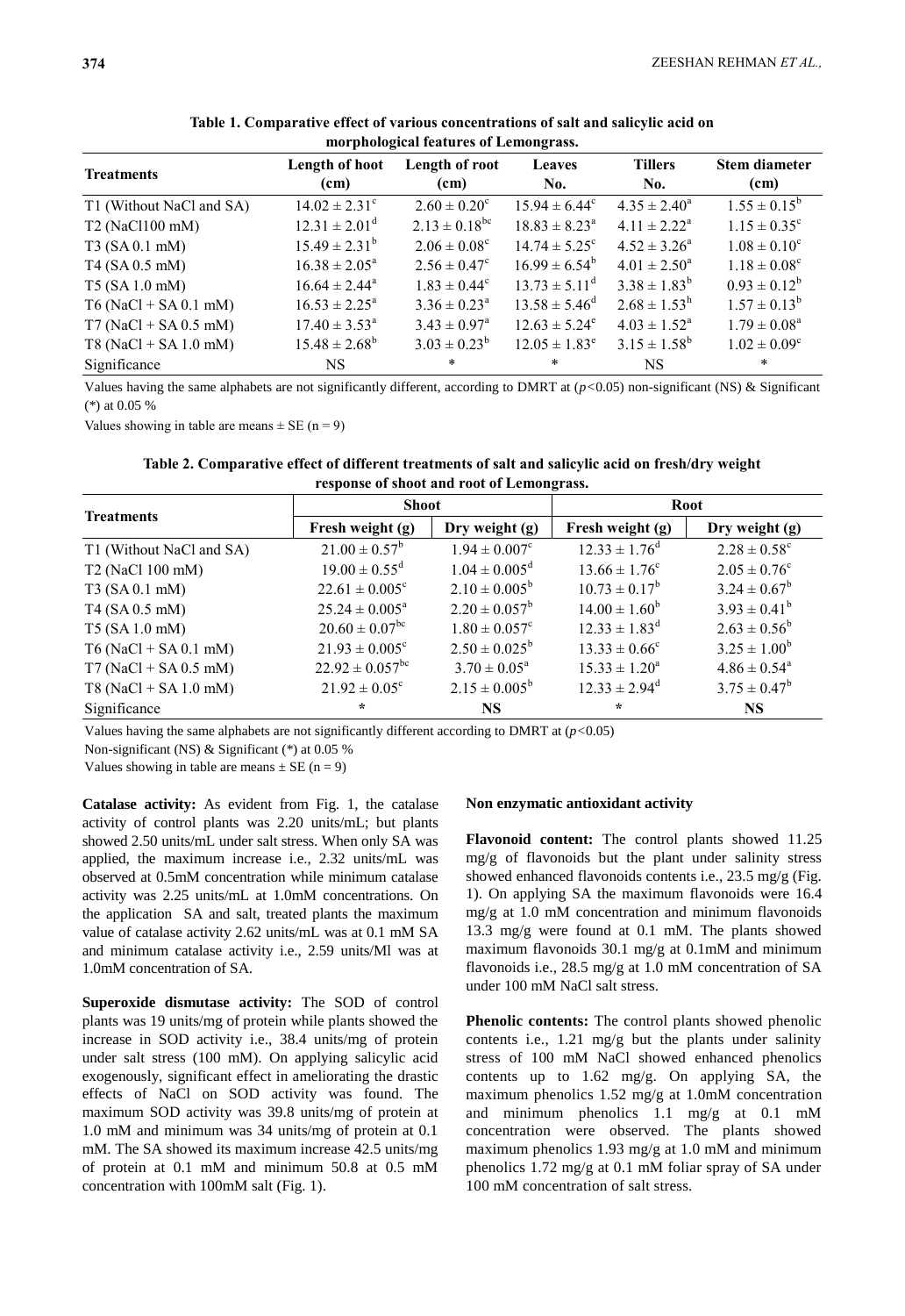| <b>Treatments</b>        | Length of hoot<br>(cm)      | Length of root<br>(cm)       | <b>Leaves</b><br>No.        | <b>Tillers</b><br>No.      | <b>Stem diameter</b><br>(cm) |
|--------------------------|-----------------------------|------------------------------|-----------------------------|----------------------------|------------------------------|
| T1 (Without NaCl and SA) | $14.02 \pm 2.31^{\circ}$    | $2.60 \pm 0.20^{\circ}$      | $15.94 \pm 6.44^c$          | $4.35 \pm 2.40^a$          | $1.55 \pm 0.15^b$            |
| T2 (NaCl100 mM)          | $12.31 \pm 2.01^d$          | $2.13 \pm 0.18^{bc}$         | $18.83 \pm 8.23^a$          | $4.11 \pm 2.22^a$          | $1.15 \pm 0.35^{\circ}$      |
| T3(SA 0.1 mM)            | $15.49 \pm 2.31^b$          | $2.06 \pm 0.08^{\circ}$      | $14.74 \pm 5.25^{\circ}$    | $4.52 \pm 3.26^a$          | $1.08 \pm 0.10^c$            |
| T4 (SA 0.5 mM)           | $16.38 \pm 2.05^a$          | $2.56 \pm 0.47^c$            | $16.99 \pm 6.54^b$          | $4.01 \pm 2.50^a$          | $1.18 \pm 0.08^c$            |
| $T5$ (SA 1.0 mM)         | $16.64 \pm 2.44^a$          | $1.83 \pm 0.44$ <sup>c</sup> | $13.73 \pm 5.11^{\text{d}}$ | $3.38 \pm 1.83^b$          | $0.93 \pm 0.12^b$            |
| $T6$ (NaCl + SA 0.1 mM)  | $16.53 \pm 2.25^{\text{a}}$ | $3.36 \pm 0.23^{\text{a}}$   | $13.58 \pm 5.46^{\text{d}}$ | $2.68 \pm 1.53^{\rm h}$    | $1.57 \pm 0.13^b$            |
| $T7 (NaCl + SA 0.5 mM)$  | $17.40 \pm 3.53^{\text{a}}$ | $3.43 \pm 0.97^{\text{a}}$   | $12.63 \pm 5.24^e$          | $4.03 \pm 1.52^{\text{a}}$ | $1.79 \pm 0.08^a$            |
| $T8 (NaCl + SA 1.0$ mM)  | $15.48 \pm 2.68^b$          | $3.03 \pm 0.23^b$            | $12.05 \pm 1.83^e$          | $3.15 \pm 1.58^b$          | $1.02 \pm 0.09^c$            |
| Significance             | NS.                         | $\ast$                       | $\ast$                      | <b>NS</b>                  | $\ast$                       |

**Table 1. Comparative effect of various concentrations of salt and salicylic acid on morphological features of Lemongrass.**

Values having the same alphabets are not significantly different, according to DMRT at (*p<*0.05) non-significant (NS) & Significant (\*) at 0.05 %

Values showing in table are means  $\pm$  SE (n = 9)

**Table 2. Comparative effect of different treatments of salt and salicylic acid on fresh/dry weight response of shoot and root of Lemongrass.**

| <b>Treatments</b>        | <b>Shoot</b>                    |                               | <b>Root</b>              |                              |  |
|--------------------------|---------------------------------|-------------------------------|--------------------------|------------------------------|--|
|                          | Fresh weight (g)                | Dry weight (g)                | Fresh weight (g)         | Dry weight (g)               |  |
| T1 (Without NaCl and SA) | $21.00 \pm 0.57^b$              | $1.94 \pm 0.007$ <sup>c</sup> | $12.33 \pm 1.76^d$       | $2.28 \pm 0.58$ <sup>c</sup> |  |
| T2 (NaCl 100 mM)         | $19.00 \pm 0.55$ <sup>d</sup>   | $1.04 \pm 0.005^{\text{d}}$   | $13.66 \pm 1.76^c$       | $2.05 \pm 0.76^{\circ}$      |  |
| T3 (SA 0.1 mM)           | $22.61 \pm 0.005^{\circ}$       | $2.10 \pm 0.005^b$            | $10.73 \pm 0.17^b$       | $3.24 \pm 0.67^b$            |  |
| T4 (SA 0.5 mM)           | $25.24 \pm 0.005^a$             | $2.20 \pm 0.057^b$            | $14.00 \pm 1.60^b$       | $3.93 \pm 0.41^b$            |  |
| T5 (SA 1.0 mM)           | $20.60 \pm 0.07$ <sup>bc</sup>  | $1.80 \pm 0.057$ <sup>c</sup> | $12.33 \pm 1.83^d$       | $2.63 \pm 0.56^b$            |  |
| $T6 (NaCl + SA 0.1$ mM)  | $21.93 \pm 0.005$ <sup>c</sup>  | $2.50 \pm 0.025^b$            | $13.33 \pm 0.66^{\circ}$ | $3.25 \pm 1.00^b$            |  |
| $T7 (NaCl + SA 0.5 mM)$  | $22.92 \pm 0.057$ <sup>bc</sup> | $3.70 \pm 0.05^{\text{a}}$    | $15.33 \pm 1.20^a$       | $4.86 \pm 0.54$ <sup>a</sup> |  |
| $T8 (NaCl + SA 1.0 mM)$  | $21.92 \pm 0.05^{\circ}$        | $2.15 \pm 0.005^b$            | $12.33 \pm 2.94^d$       | $3.75 \pm 0.47^b$            |  |
| Significance             | $\star$                         | <b>NS</b>                     | $\star$                  | <b>NS</b>                    |  |

Values having the same alphabets are not significantly different according to DMRT at (*p<*0.05)

Non-significant (NS) & Significant (\*) at 0.05 %

Values showing in table are means  $\pm$  SE (n = 9)

**Catalase activity:** As evident from Fig. 1, the catalase activity of control plants was 2.20 units/mL; but plants showed 2.50 units/mL under salt stress. When only SA was applied, the maximum increase i.e., 2.32 units/mL was observed at 0.5mM concentration while minimum catalase activity was 2.25 units/mL at 1.0mM concentrations. On the application SA and salt, treated plants the maximum value of catalase activity 2.62 units/mL was at 0.1 mM SA and minimum catalase activity i.e., 2.59 units/Ml was at 1.0mM concentration of SA.

**Superoxide dismutase activity:** The SOD of control plants was 19 units/mg of protein while plants showed the increase in SOD activity i.e., 38.4 units/mg of protein under salt stress (100 mM). On applying salicylic acid exogenously, significant effect in ameliorating the drastic effects of NaCl on SOD activity was found. The maximum SOD activity was 39.8 units/mg of protein at 1.0 mM and minimum was 34 units/mg of protein at 0.1 mM. The SA showed its maximum increase 42.5 units/mg of protein at 0.1 mM and minimum 50.8 at 0.5 mM concentration with 100mM salt (Fig. 1).

## **Non enzymatic antioxidant activity**

**Flavonoid content:** The control plants showed 11.25 mg/g of flavonoids but the plant under salinity stress showed enhanced flavonoids contents i.e., 23.5 mg/g (Fig. 1). On applying SA the maximum flavonoids were 16.4 mg/g at 1.0 mM concentration and minimum flavonoids 13.3 mg/g were found at 0.1 mM. The plants showed maximum flavonoids 30.1 mg/g at 0.1mM and minimum flavonoids i.e., 28.5 mg/g at 1.0 mM concentration of SA under 100 mM NaCl salt stress.

**Phenolic contents:** The control plants showed phenolic contents i.e., 1.21 mg/g but the plants under salinity stress of 100 mM NaCl showed enhanced phenolics contents up to 1.62 mg/g. On applying SA, the maximum phenolics 1.52 mg/g at 1.0mM concentration and minimum phenolics 1.1 mg/g at 0.1 mM concentration were observed. The plants showed maximum phenolics 1.93 mg/g at 1.0 mM and minimum phenolics 1.72 mg/g at 0.1 mM foliar spray of SA under 100 mM concentration of salt stress.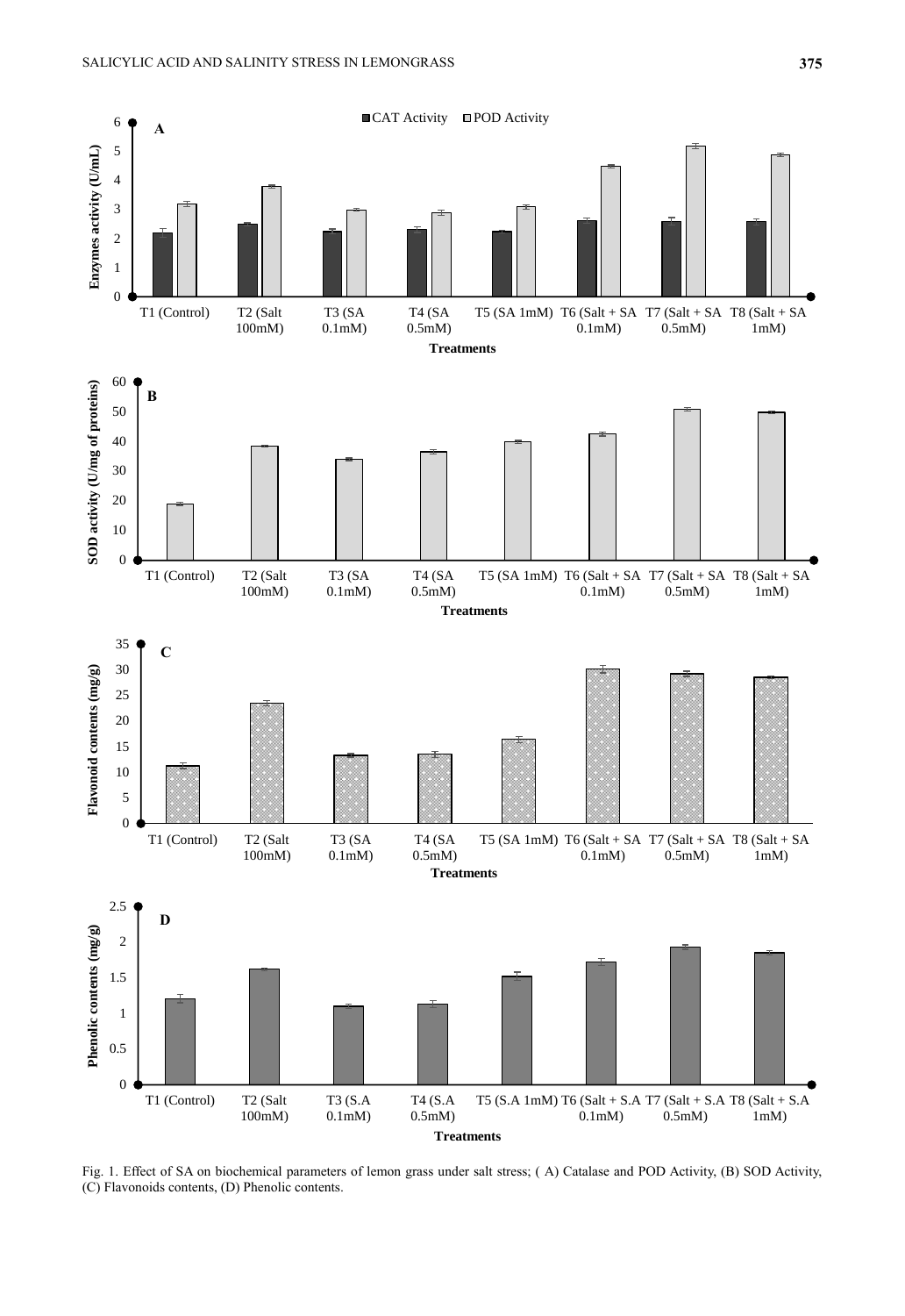

Fig. 1. Effect of SA on biochemical parameters of lemon grass under salt stress; ( A) Catalase and POD Activity, (B) SOD Activity, (C) Flavonoids contents, (D) Phenolic contents.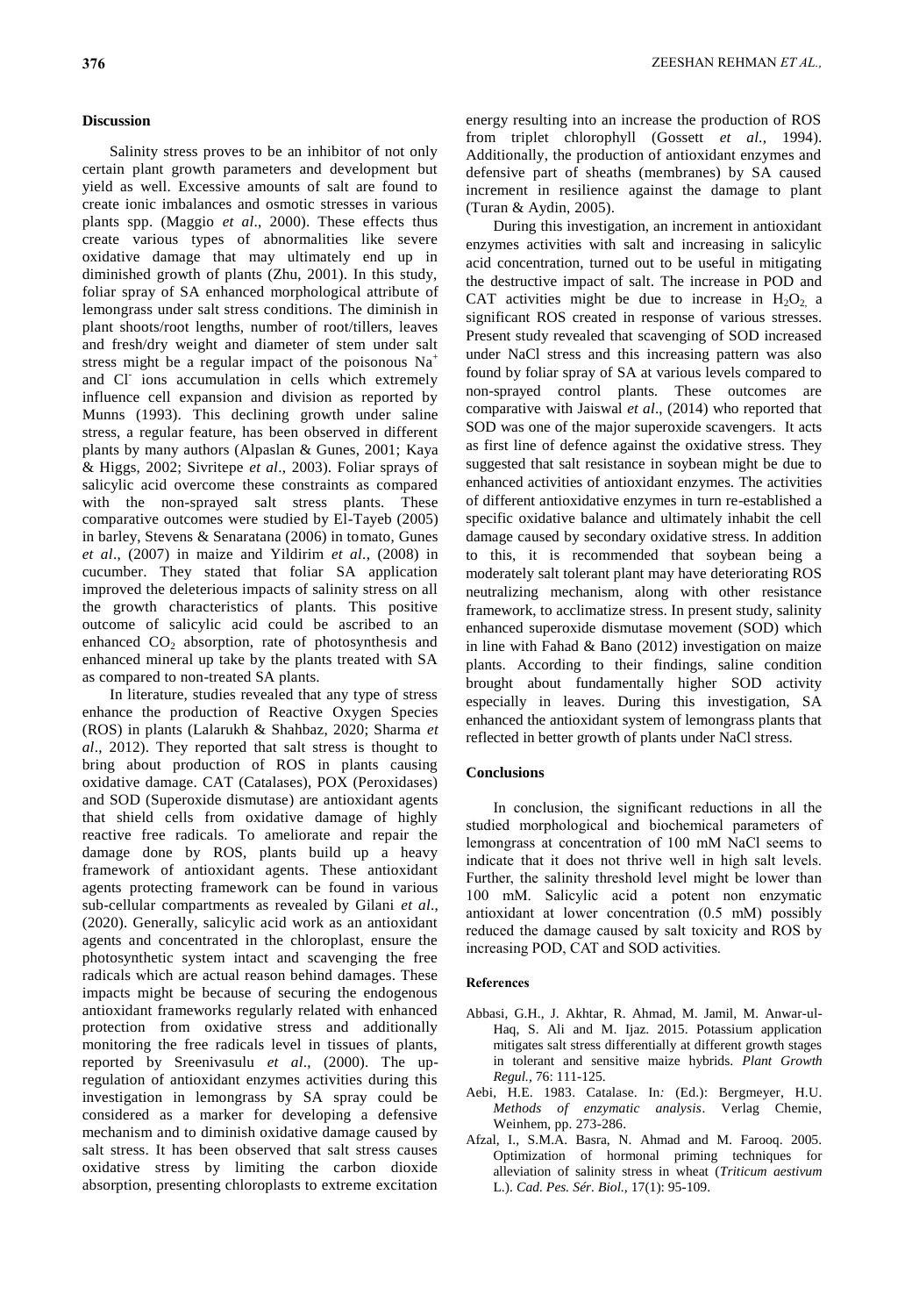## **Discussion**

Salinity stress proves to be an inhibitor of not only certain plant growth parameters and development but yield as well. Excessive amounts of salt are found to create ionic imbalances and osmotic stresses in various plants spp. (Maggio *et al*., 2000). These effects thus create various types of abnormalities like severe oxidative damage that may ultimately end up in diminished growth of plants (Zhu, 2001). In this study, foliar spray of SA enhanced morphological attribute of lemongrass under salt stress conditions. The diminish in plant shoots/root lengths, number of root/tillers, leaves and fresh/dry weight and diameter of stem under salt stress might be a regular impact of the poisonous  $Na<sup>+</sup>$ and Cl<sup>-</sup> ions accumulation in cells which extremely influence cell expansion and division as reported by Munns (1993). This declining growth under saline stress, a regular feature, has been observed in different plants by many authors (Alpaslan & Gunes, 2001; Kaya & Higgs, 2002; Sivritepe *et al*., 2003). Foliar sprays of salicylic acid overcome these constraints as compared with the non-sprayed salt stress plants. These comparative outcomes were studied by El-Tayeb (2005) in barley, Stevens & Senaratana (2006) in tomato, Gunes *et al*., (2007) in maize and Yildirim *et al*., (2008) in cucumber. They stated that foliar SA application improved the deleterious impacts of salinity stress on all the growth characteristics of plants. This positive outcome of salicylic acid could be ascribed to an enhanced CO<sub>2</sub> absorption, rate of photosynthesis and enhanced mineral up take by the plants treated with SA as compared to non-treated SA plants.

In literature, studies revealed that any type of stress enhance the production of Reactive Oxygen Species (ROS) in plants (Lalarukh & Shahbaz, 2020; Sharma *et al*., 2012). They reported that salt stress is thought to bring about production of ROS in plants causing oxidative damage. CAT (Catalases), POX (Peroxidases) and SOD (Superoxide dismutase) are antioxidant agents that shield cells from oxidative damage of highly reactive free radicals. To ameliorate and repair the damage done by ROS, plants build up a heavy framework of antioxidant agents. These antioxidant agents protecting framework can be found in various sub-cellular compartments as revealed by Gilani *et al*., (2020). Generally, salicylic acid work as an antioxidant agents and concentrated in the chloroplast, ensure the photosynthetic system intact and scavenging the free radicals which are actual reason behind damages. These impacts might be because of securing the endogenous antioxidant frameworks regularly related with enhanced protection from oxidative stress and additionally monitoring the free radicals level in tissues of plants, reported by Sreenivasulu *et al*., (2000). The upregulation of antioxidant enzymes activities during this investigation in lemongrass by SA spray could be considered as a marker for developing a defensive mechanism and to diminish oxidative damage caused by salt stress. It has been observed that salt stress causes oxidative stress by limiting the carbon dioxide absorption, presenting chloroplasts to extreme excitation

energy resulting into an increase the production of ROS from triplet chlorophyll (Gossett *et al*., 1994). Additionally, the production of antioxidant enzymes and defensive part of sheaths (membranes) by SA caused increment in resilience against the damage to plant (Turan & Aydin, 2005).

During this investigation, an increment in antioxidant enzymes activities with salt and increasing in salicylic acid concentration, turned out to be useful in mitigating the destructive impact of salt. The increase in POD and CAT activities might be due to increase in  $H_2O_2$  a significant ROS created in response of various stresses. Present study revealed that scavenging of SOD increased under NaCl stress and this increasing pattern was also found by foliar spray of SA at various levels compared to non-sprayed control plants. These outcomes are comparative with Jaiswal *et al*., (2014) who reported that SOD was one of the major superoxide scavengers. It acts as first line of defence against the oxidative stress. They suggested that salt resistance in soybean might be due to enhanced activities of antioxidant enzymes. The activities of different antioxidative enzymes in turn re-established a specific oxidative balance and ultimately inhabit the cell damage caused by secondary oxidative stress. In addition to this, it is recommended that soybean being a moderately salt tolerant plant may have deteriorating ROS neutralizing mechanism, along with other resistance framework, to acclimatize stress. In present study, salinity enhanced superoxide dismutase movement (SOD) which in line with Fahad & Bano (2012) investigation on maize plants. According to their findings, saline condition brought about fundamentally higher SOD activity especially in leaves. During this investigation, SA enhanced the antioxidant system of lemongrass plants that reflected in better growth of plants under NaCl stress.

## **Conclusions**

In conclusion, the significant reductions in all the studied morphological and biochemical parameters of lemongrass at concentration of 100 mM NaCl seems to indicate that it does not thrive well in high salt levels. Further, the salinity threshold level might be lower than 100 mM. Salicylic acid a potent non enzymatic antioxidant at lower concentration (0.5 mM) possibly reduced the damage caused by salt toxicity and ROS by increasing POD, CAT and SOD activities.

#### **References**

- Abbasi, G.H., J. Akhtar, R. Ahmad, M. Jamil, M. Anwar-ul-Haq, S. Ali and M. Ijaz. 2015. Potassium application mitigates salt stress differentially at different growth stages in tolerant and sensitive maize hybrids. *Plant Growth Regul.,* 76: 111-125.
- Aebi, H.E. 1983. Catalase. In*:* (Ed.): Bergmeyer, H.U. *Methods of enzymatic analysis*. Verlag Chemie, Weinhem, pp. 273-286.
- Afzal, I., S.M.A. Basra, N. Ahmad and M. Farooq. 2005. Optimization of hormonal priming techniques for alleviation of salinity stress in wheat (*Triticum aestivum* L.). *Cad. Pes. Sér. Biol.,* 17(1): 95-109.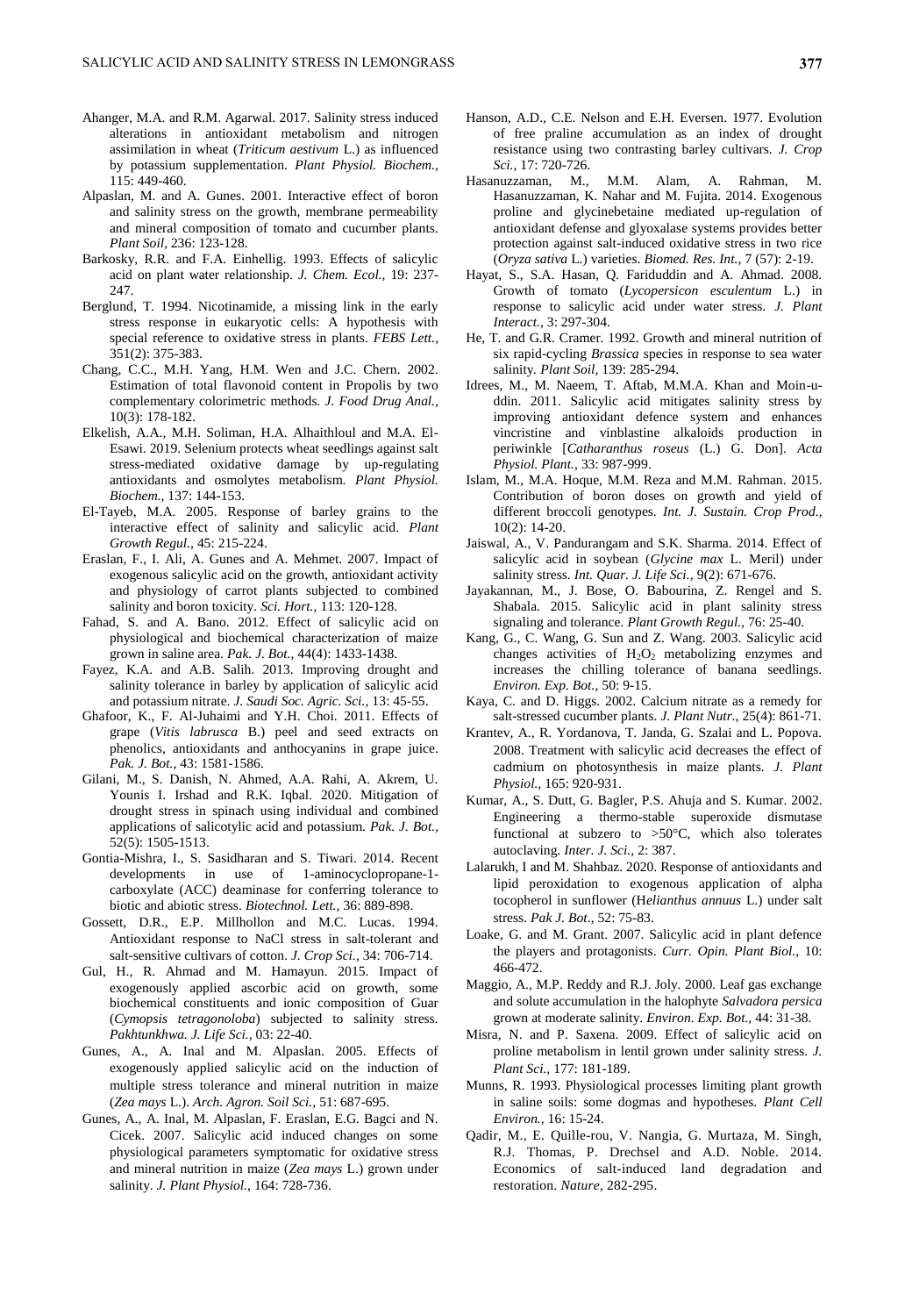- Ahanger, M.A. and R.M. Agarwal. 2017. Salinity stress induced alterations in antioxidant metabolism and nitrogen assimilation in wheat (*Triticum aestivum* L.) as influenced by potassium supplementation. *Plant Physiol. Biochem.,*  115: 449-460.
- Alpaslan, M. and A. Gunes. 2001. Interactive effect of boron and salinity stress on the growth, membrane permeability and mineral composition of tomato and cucumber plants. *Plant Soil,* 236: 123-128.
- Barkosky, R.R. and F.A. Einhellig. 1993. Effects of salicylic acid on plant water relationship. *J. Chem. Ecol.,* 19: 237- 247.
- Berglund, T. 1994. Nicotinamide, a missing link in the early stress response in eukaryotic cells: A hypothesis with special reference to oxidative stress in plants. *[FEBS](https://febs.onlinelibrary.wiley.com/doi/full/10.1046/j.0014-2956.2003.03782.x) Lett.,* 351(2): 375-383.
- Chang, C.C., M.H. Yang, H.M. Wen and J.C. Chern. 2002. Estimation of total flavonoid content in Propolis by two complementary colorimetric methods. *J. Food Drug [Anal.,](https://www.researchgate.net/journal/1021-9498_Journal_of_Food_and_Drug_Analysis)* 10(3): 178-182.
- Elkelish, A.A., M.H. Soliman, H.A. Alhaithloul and M.A. El-Esawi. 2019. Selenium protects wheat seedlings against salt stress-mediated oxidative damage by up-regulating antioxidants and osmolytes metabolism. *Plant Physiol. Biochem.,* 137: 144-153.
- El-Tayeb, M.A. 2005. Response of barley grains to the interactive effect of salinity and salicylic acid. *Plant Growth Regul.,* 45: 215-224.
- Eraslan, F., I. Ali, A. Gunes and A. Mehmet. 2007. Impact of exogenous salicylic acid on the growth, antioxidant activity and physiology of carrot plants subjected to combined salinity and boron toxicity. *Sci. Hort.,* 113: 120-128.
- Fahad, S. and A. Bano. 2012. Effect of salicylic acid on physiological and biochemical characterization of maize grown in saline area. *Pak. J. Bot.,* 44(4): 1433-1438.
- Fayez, K.A. and A.B. Salih. 2013. Improving drought and salinity tolerance in barley by application of salicylic acid and potassium nitrate. *J. Saudi Soc. Agric. Sci.,* 13: 45-55.
- Ghafoor, K., F. Al-Juhaimi and Y.H. Choi. 2011. Effects of grape (*Vitis labrusca* B.) peel and seed extracts on phenolics, antioxidants and anthocyanins in grape juice. *Pak. J. Bot.,* 43: 1581-1586.
- Gilani, M., S. Danish, N. Ahmed, A.A. Rahi, A. Akrem, U. Younis I. Irshad and R.K. Iqbal. 2020. Mitigation of drought stress in spinach using individual and combined applications of salicotylic acid and potassium. *Pak. J. Bot.,* 52(5): 1505-1513.
- Gontia-Mishra, I., S. Sasidharan and S. Tiwari. 2014. Recent developments in use of 1-aminocyclopropane-1 carboxylate (ACC) deaminase for conferring tolerance to biotic and abiotic stress. *Biotechnol. Lett.,* 36: 889-898.
- Gossett, D.R., E.P. Millhollon and M.C. Lucas. 1994. Antioxidant response to NaCl stress in salt-tolerant and salt-sensitive cultivars of cotton. *J. Crop Sci.,* 34: 706-714.
- Gul, H., R. Ahmad and M. Hamayun. 2015. Impact of exogenously applied ascorbic acid on growth, some biochemical constituents and ionic composition of Guar (*Cymopsis tetragonoloba*) subjected to salinity stress. *Pakhtunkhwa. J. Life Sci.,* 03: 22-40.
- Gunes, A., A. Inal and M. Alpaslan. 2005. Effects of exogenously applied salicylic acid on the induction of multiple stress tolerance and mineral nutrition in maize (*Zea mays* L.). *Arch. Agron. Soil Sci.,* 51: 687-695.
- Gunes, A., A. Inal, M. Alpaslan, F. Eraslan, E.G. Bagci and N. Cicek. 2007. Salicylic acid induced changes on some physiological parameters symptomatic for oxidative stress and mineral nutrition in maize (*Zea mays* L.) grown under salinity. *J. Plant Physiol.,* 164: 728-736.
- Hanson, A.D., C.E. Nelson and E.H. Eversen. 1977. Evolution of free praline accumulation as an index of drought resistance using two contrasting barley cultivars. *J. Crop Sci.,* 17: 720-726.
- Hasanuzzaman, M., M.M. Alam, A. Rahman, M. Hasanuzzaman, K. Nahar and M. Fujita. 2014. Exogenous proline and glycinebetaine mediated up-regulation of antioxidant defense and glyoxalase systems provides better protection against salt-induced oxidative stress in two rice (*Oryza sativa* L.) varieties. *Biomed. Res. Int.,* 7 (57): 2-19.
- Hayat, S., S.A. Hasan, Q. Fariduddin and A. Ahmad. 2008. Growth of tomato (*Lycopersicon esculentum* L.) in response to salicylic acid under water stress. *J. Plant Interact.,* 3: 297-304.
- He, T. and G.R. Cramer. 1992. Growth and mineral nutrition of six rapid-cycling *Brassica* species in response to sea water salinity*. Plant Soil,* 139: 285-294.
- Idrees, M., M. Naeem, T. Aftab, M.M.A. Khan and Moin-uddin. 2011. Salicylic acid mitigates salinity stress by improving antioxidant defence system and enhances vincristine and vinblastine alkaloids production in periwinkle [*Catharanthus roseus* (L.) G. Don]. *Acta Physiol. Plant.,* 33: 987-999.
- Islam, M., M.A. Hoque, M.M. Reza and M.M. Rahman. 2015. Contribution of boron doses on growth and yield of different broccoli genotypes. *[Int. J. Sustain. Crop Prod.,](https://www.google.com.pk/url?sa=t&rct=j&q=&esrc=s&source=web&cd=2&cad=rja&uact=8&ved=0ahUKEwjd7J71s5jaAhUohaYKHfFQBiUQFggsMAE&url=http%3A%2F%2Fggfjournals.com%2Fcontent%2Fjournals%2FIJSCP&usg=AOvVaw2hP6DXexbT3DyhIxQHvWp-)*  10(2): 14-20.
- Jaiswal, A., V. Pandurangam and S.K. Sharma. 2014. Effect of salicylic acid in soybean (*Glycine max* L. Meril) under salinity stress. *Int. Quar. J. Life Sci.,* 9(2): 671-676.
- Jayakannan, M., J. Bose, O. Babourina, Z. Rengel and S. Shabala. 2015. Salicylic acid in plant salinity stress signaling and tolerance. *Plant Growth Regul.,* 76: 25-40.
- Kang, G., C. Wang, G. Sun and Z. Wang. 2003. Salicylic acid changes activities of  $H_2O_2$  metabolizing enzymes and increases the chilling tolerance of banana seedlings. *Environ. Exp. Bot.,* 50: 9-15.
- Kaya, C. and D. Higgs. 2002. Calcium nitrate as a remedy for salt-stressed cucumber plants. *J. Plant Nutr.,* 25(4): 861-71.
- Krantev, A., R. Yordanova, T. Janda, G. Szalai and L. Popova. 2008. Treatment with salicylic acid decreases the effect of cadmium on photosynthesis in maize plants. *J. Plant Physiol.,* 165: 920-931.
- Kumar, A., S. Dutt, G. Bagler, P.S. Ahuja and S. Kumar. 2002. Engineering a thermo-stable superoxide dismutase functional at subzero to >50°C, which also tolerates autoclaving. *Inter. J. Sci.,* 2: 387.
- Lalarukh, I and M. Shahbaz. 2020. Response of antioxidants and lipid peroxidation to exogenous application of alpha tocopherol in sunflower (H*elianthus annuus* L.) under salt stress. *Pak J. Bot*., 52: 75-83.
- Loake, G. and M. Grant. 2007. Salicylic acid in plant defence the players and protagonists. *Curr. Opin. Plant Biol.,* 10: 466-472.
- Maggio, A., M.P. Reddy and R.J. Joly. 2000. Leaf gas exchange and solute accumulation in the halophyte *Salvadora persica* grown at moderate salinity. *Environ. Exp. Bot.,* 44: 31-38.
- Misra, N. and P. Saxena. 2009. Effect of salicylic acid on proline metabolism in lentil grown under salinity stress. *J. Plant Sci.,* 177: 181-189.
- Munns, R. 1993. Physiological processes limiting plant growth in saline soils: some dogmas and hypotheses. *Plant Cell Environ.,* 16: 15-24.
- Qadir, M., E. Quille-rou, V. Nangia, G. Murtaza, M. Singh, R.J. Thomas, P. Drechsel and A.D. Noble. 2014. Economics of salt-induced land degradation and restoration. *Nature,* 282-295.